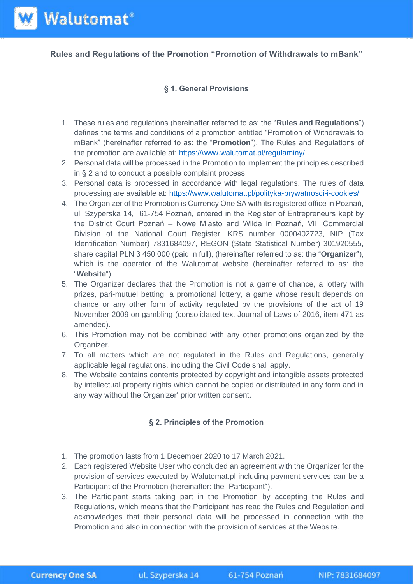**Rules and Regulations of the Promotion "Promotion of Withdrawals to mBank"**

## **§ 1. General Provisions**

- 1. These rules and regulations (hereinafter referred to as: the "**Rules and Regulations**") defines the terms and conditions of a promotion entitled "Promotion of Withdrawals to mBank" (hereinafter referred to as: the "**Promotion**"). The Rules and Regulations of the promotion are available at:<https://www.walutomat.pl/regulaminy/>.
- 2. Personal data will be processed in the Promotion to implement the principles described in § 2 and to conduct a possible complaint process.
- 3. Personal data is processed in accordance with legal regulations. The rules of data processing are available at:<https://www.walutomat.pl/polityka-prywatnosci-i-cookies/>
- 4. The Organizer of the Promotion is Currency One SA with its registered office in Poznań, ul. Szyperska 14, 61-754 Poznań, entered in the Register of Entrepreneurs kept by the District Court Poznań – Nowe Miasto and Wilda in Poznań, VIII Commercial Division of the National Court Register, KRS number 0000402723, NIP (Tax Identification Number) 7831684097, REGON (State Statistical Number) 301920555, share capital PLN 3 450 000 (paid in full), (hereinafter referred to as: the "**Organizer**"), which is the operator of the Walutomat website (hereinafter referred to as: the "**Website**").
- 5. The Organizer declares that the Promotion is not a game of chance, a lottery with prizes, pari-mutuel betting, a promotional lottery, a game whose result depends on chance or any other form of activity regulated by the provisions of the act of 19 November 2009 on gambling (consolidated text Journal of Laws of 2016, item 471 as amended).
- 6. This Promotion may not be combined with any other promotions organized by the Organizer.
- 7. To all matters which are not regulated in the Rules and Regulations, generally applicable legal regulations, including the Civil Code shall apply.
- 8. The Website contains contents protected by copyright and intangible assets protected by intellectual property rights which cannot be copied or distributed in any form and in any way without the Organizer' prior written consent.

## **§ 2. Principles of the Promotion**

- 1. The promotion lasts from 1 December 2020 to 17 March 2021.
- 2. Each registered Website User who concluded an agreement with the Organizer for the provision of services executed by Walutomat.pl including payment services can be a Participant of the Promotion (hereinafter: the "Participant").
- 3. The Participant starts taking part in the Promotion by accepting the Rules and Regulations, which means that the Participant has read the Rules and Regulation and acknowledges that their personal data will be processed in connection with the Promotion and also in connection with the provision of services at the Website.

**W** Walutomat<sup>®</sup>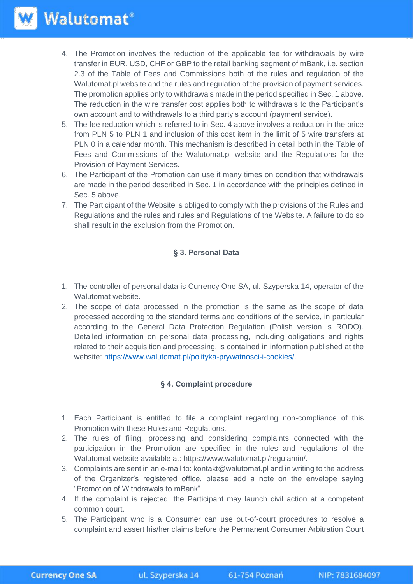- 4. The Promotion involves the reduction of the applicable fee for withdrawals by wire transfer in EUR, USD, CHF or GBP to the retail banking segment of mBank, i.e. section 2.3 of the Table of Fees and Commissions both of the rules and regulation of the Walutomat.pl website and the rules and regulation of the provision of payment services. The promotion applies only to withdrawals made in the period specified in Sec. 1 above. The reduction in the wire transfer cost applies both to withdrawals to the Participant's own account and to withdrawals to a third party's account (payment service).
- 5. The fee reduction which is referred to in Sec. 4 above involves a reduction in the price from PLN 5 to PLN 1 and inclusion of this cost item in the limit of 5 wire transfers at PLN 0 in a calendar month. This mechanism is described in detail both in the Table of Fees and Commissions of the Walutomat.pl website and the Regulations for the Provision of Payment Services.
- 6. The Participant of the Promotion can use it many times on condition that withdrawals are made in the period described in Sec. 1 in accordance with the principles defined in Sec. 5 above.
- 7. The Participant of the Website is obliged to comply with the provisions of the Rules and Regulations and the rules and rules and Regulations of the Website. A failure to do so shall result in the exclusion from the Promotion.

## **§ 3. Personal Data**

- 1. The controller of personal data is Currency One SA, ul. Szyperska 14, operator of the Walutomat website.
- 2. The scope of data processed in the promotion is the same as the scope of data processed according to the standard terms and conditions of the service, in particular according to the General Data Protection Regulation (Polish version is RODO). Detailed information on personal data processing, including obligations and rights related to their acquisition and processing, is contained in information published at the website: [https://www.walutomat.pl/polityka-prywatnosci-i-cookies/.](https://www.google.com/url?q=https://www.walutomat.pl/polityka-prywatnosci-i-cookies/&sa=D&ust=1595423033468000&usg=AFQjCNGmyIm4_wsliG2E5sNlV42T6dPN3w)

## **§ 4. Complaint procedure**

- 1. Each Participant is entitled to file a complaint regarding non-compliance of this Promotion with these Rules and Regulations.
- 2. The rules of filing, processing and considering complaints connected with the participation in the Promotion are specified in the rules and regulations of the Walutomat website available at: https://www.walutomat.pl/regulamin/.
- 3. Complaints are sent in an e-mail to: kontakt@walutomat.pl and in writing to the address of the Organizer's registered office, please add a note on the envelope saying "Promotion of Withdrawals to mBank".
- 4. If the complaint is rejected, the Participant may launch civil action at a competent common court.
- 5. The Participant who is a Consumer can use out-of-court procedures to resolve a complaint and assert his/her claims before the Permanent Consumer Arbitration Court